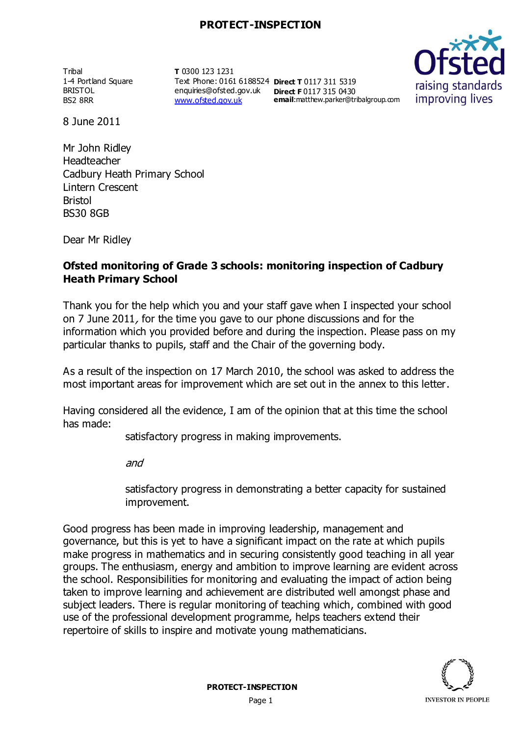**Tribal** 1-4 Portland Square BRISTOL BS2 8RR

**T** 0300 123 1231 Text Phone: 0161 6188524 **Direct T** 0117 311 5319 enquiries@ofsted.gov.uk **Direct F** 0117 315 0430 [www.ofsted.gov.uk](http://www.ofsted.gov.uk/)

**email**:matthew.parker@tribalgroup.com



8 June 2011

Mr John Ridley Headteacher Cadbury Heath Primary School Lintern Crescent Bristol BS30 8GB

Dear Mr Ridley

## **Ofsted monitoring of Grade 3 schools: monitoring inspection of Cadbury Heath Primary School**

Thank you for the help which you and your staff gave when I inspected your school on 7 June 2011, for the time you gave to our phone discussions and for the information which you provided before and during the inspection. Please pass on my particular thanks to pupils, staff and the Chair of the governing body.

As a result of the inspection on 17 March 2010, the school was asked to address the most important areas for improvement which are set out in the annex to this letter.

Having considered all the evidence, I am of the opinion that at this time the school has made:

satisfactory progress in making improvements.

and

satisfactory progress in demonstrating a better capacity for sustained improvement.

Good progress has been made in improving leadership, management and governance, but this is yet to have a significant impact on the rate at which pupils make progress in mathematics and in securing consistently good teaching in all year groups. The enthusiasm, energy and ambition to improve learning are evident across the school. Responsibilities for monitoring and evaluating the impact of action being taken to improve learning and achievement are distributed well amongst phase and subject leaders. There is regular monitoring of teaching which, combined with good use of the professional development programme, helps teachers extend their repertoire of skills to inspire and motivate young mathematicians.

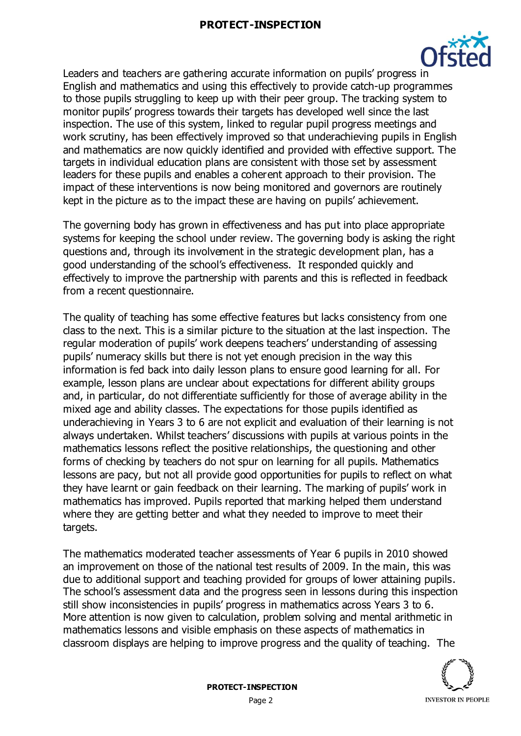### **PROTECT-INSPECTION**



Leaders and teachers are gathering accurate information on pupils' progress in English and mathematics and using this effectively to provide catch-up programmes to those pupils struggling to keep up with their peer group. The tracking system to monitor pupils' progress towards their targets has developed well since the last inspection. The use of this system, linked to regular pupil progress meetings and work scrutiny, has been effectively improved so that underachieving pupils in English and mathematics are now quickly identified and provided with effective support. The targets in individual education plans are consistent with those set by assessment leaders for these pupils and enables a coherent approach to their provision. The impact of these interventions is now being monitored and governors are routinely kept in the picture as to the impact these are having on pupils' achievement.

The governing body has grown in effectiveness and has put into place appropriate systems for keeping the school under review. The governing body is asking the right questions and, through its involvement in the strategic development plan, has a good understanding of the school's effectiveness. It responded quickly and effectively to improve the partnership with parents and this is reflected in feedback from a recent questionnaire.

The quality of teaching has some effective features but lacks consistency from one class to the next. This is a similar picture to the situation at the last inspection. The regular moderation of pupils' work deepens teachers' understanding of assessing pupils' numeracy skills but there is not yet enough precision in the way this information is fed back into daily lesson plans to ensure good learning for all. For example, lesson plans are unclear about expectations for different ability groups and, in particular, do not differentiate sufficiently for those of average ability in the mixed age and ability classes. The expectations for those pupils identified as underachieving in Years 3 to 6 are not explicit and evaluation of their learning is not always undertaken. Whilst teachers' discussions with pupils at various points in the mathematics lessons reflect the positive relationships, the questioning and other forms of checking by teachers do not spur on learning for all pupils. Mathematics lessons are pacy, but not all provide good opportunities for pupils to reflect on what they have learnt or gain feedback on their learning. The marking of pupils' work in mathematics has improved. Pupils reported that marking helped them understand where they are getting better and what they needed to improve to meet their targets.

The mathematics moderated teacher assessments of Year 6 pupils in 2010 showed an improvement on those of the national test results of 2009. In the main, this was due to additional support and teaching provided for groups of lower attaining pupils. The school's assessment data and the progress seen in lessons during this inspection still show inconsistencies in pupils' progress in mathematics across Years 3 to 6. More attention is now given to calculation, problem solving and mental arithmetic in mathematics lessons and visible emphasis on these aspects of mathematics in classroom displays are helping to improve progress and the quality of teaching. The

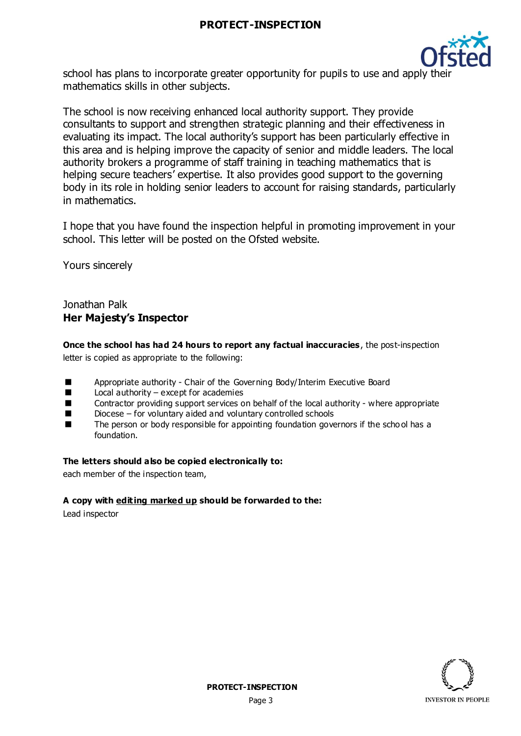## **PROTECT-INSPECTION**



school has plans to incorporate greater opportunity for pupils to use and apply their mathematics skills in other subjects.

The school is now receiving enhanced local authority support. They provide consultants to support and strengthen strategic planning and their effectiveness in evaluating its impact. The local authority's support has been particularly effective in this area and is helping improve the capacity of senior and middle leaders. The local authority brokers a programme of staff training in teaching mathematics that is helping secure teachers' expertise. It also provides good support to the governing body in its role in holding senior leaders to account for raising standards, particularly in mathematics.

I hope that you have found the inspection helpful in promoting improvement in your school. This letter will be posted on the Ofsted website.

Yours sincerely

## Jonathan Palk **Her Majesty's Inspector**

**Once the school has had 24 hours to report any factual inaccuracies**, the post-inspection letter is copied as appropriate to the following:

- Appropriate authority Chair of the Governing Body/Interim Executive Board
- Local authority except for academies
- Contractor providing support services on behalf of the local authority where appropriate
- Diocese for voluntary aided and voluntary controlled schools
- The person or body responsible for appointing foundation governors if the scho ol has a foundation.

#### **The letters should also be copied electronically to:**

each member of the inspection team,

#### **A copy with editing marked up should be forwarded to the:**

Lead inspector